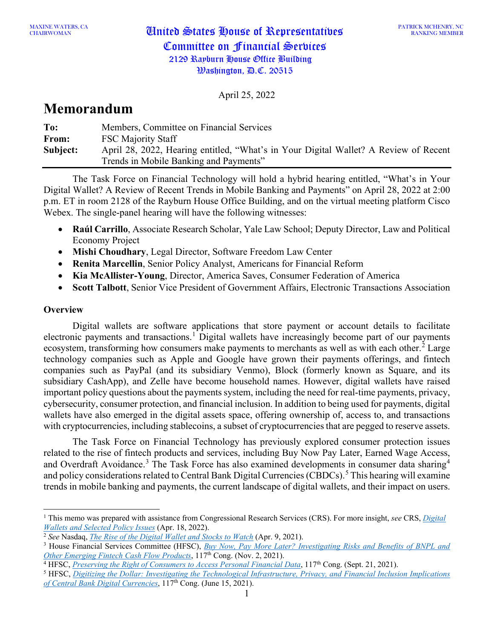April 25, 2022

# **Memorandum**

| To:      | Members, Committee on Financial Services                                             |
|----------|--------------------------------------------------------------------------------------|
| From:    | <b>FSC Majority Staff</b>                                                            |
| Subject: | April 28, 2022, Hearing entitled, "What's in Your Digital Wallet? A Review of Recent |
|          | Trends in Mobile Banking and Payments"                                               |

The Task Force on Financial Technology will hold a hybrid hearing entitled, "What's in Your Digital Wallet? A Review of Recent Trends in Mobile Banking and Payments" on April 28, 2022 at 2:00 p.m. ET in room 2128 of the Rayburn House Office Building, and on the virtual meeting platform Cisco Webex. The single-panel hearing will have the following witnesses:

- **Raúl Carrillo**, Associate Research Scholar, Yale Law School; Deputy Director, Law and Political Economy Project
- **Mishi Choudhary**, Legal Director, Software Freedom Law Center
- **Renita Marcellin**, Senior Policy Analyst, Americans for Financial Reform
- **Kia McAllister-Young**, Director, America Saves, Consumer Federation of America
- **Scott Talbott**, Senior Vice President of Government Affairs, Electronic Transactions Association

## **Overview**

Digital wallets are software applications that store payment or account details to facilitate electronic payments and transactions.<sup>[1](#page-0-0)</sup> Digital wallets have increasingly become part of our payments ecosystem, transforming how consumers make payments to merchants as well as with each other.<sup>[2](#page-0-1)</sup> Large technology companies such as Apple and Google have grown their payments offerings, and fintech companies such as PayPal (and its subsidiary Venmo), Block (formerly known as Square, and its subsidiary CashApp), and Zelle have become household names. However, digital wallets have raised important policy questions about the payments system, including the need for real-time payments, privacy, cybersecurity, consumer protection, and financial inclusion. In addition to being used for payments, digital wallets have also emerged in the digital assets space, offering ownership of, access to, and transactions with cryptocurrencies, including stablecoins, a subset of cryptocurrencies that are pegged to reserve assets.

The Task Force on Financial Technology has previously explored consumer protection issues related to the rise of fintech products and services, including Buy Now Pay Later, Earned Wage Access, and Overdraft Avoidance.<sup>[3](#page-0-2)</sup> The Task Force has also examined developments in consumer data sharing<sup>[4](#page-0-3)</sup> and policy considerations related to Central Bank Digital Currencies (CBDCs).<sup>[5](#page-0-4)</sup> This hearing will examine trends in mobile banking and payments, the current landscape of digital wallets, and their impact on users.

<span id="page-0-0"></span><sup>1</sup> This memo was prepared with assistance from Congressional Research Services (CRS). For more insight, *see* CRS, *[Digital](https://crsreports.congress.gov/product/pdf/IF/IF12079)  [Wallets and Selected Policy Issues](https://crsreports.congress.gov/product/pdf/IF/IF12079)* (Apr. 18, 2022).

<span id="page-0-1"></span><sup>2</sup> *See* Nasdaq, *[The Rise of the Digital Wallet and Stocks to Watch](https://www.nasdaq.com/articles/the-rise-of-the-digital-wallet-and-stocks-to-watch-2021-04-09)* (Apr. 9, 2021).

<span id="page-0-2"></span><sup>3</sup> House Financial Services Committee (HFSC), *[Buy Now, Pay More Later? Investigating Risks and Benefits of BNPL and](https://financialservices.house.gov/events/eventsingle.aspx?EventID=408594)  [Other Emerging Fintech Cash Flow Products](https://financialservices.house.gov/events/eventsingle.aspx?EventID=408594)*, 117<sup>th</sup> Cong. (Nov. 2, 2021).

<span id="page-0-3"></span><sup>&</sup>lt;sup>4</sup> HFSC, *[Preserving the Right of Consumers to Access Personal Financial Data](https://financialservices.house.gov/events/eventsingle.aspx?EventID=408301)*, 117<sup>th</sup> Cong. (Sept. 21, 2021).

<span id="page-0-4"></span><sup>5</sup> HFSC, *[Digitizing the Dollar: Investigating the Technological Infrastructure, Privacy, and](https://financialservices.house.gov/events/eventsingle.aspx?EventID=407953) Financial Inclusion Implications [of Central Bank Digital Currencies](https://financialservices.house.gov/events/eventsingle.aspx?EventID=407953)*, 117th Cong. (June 15, 2021).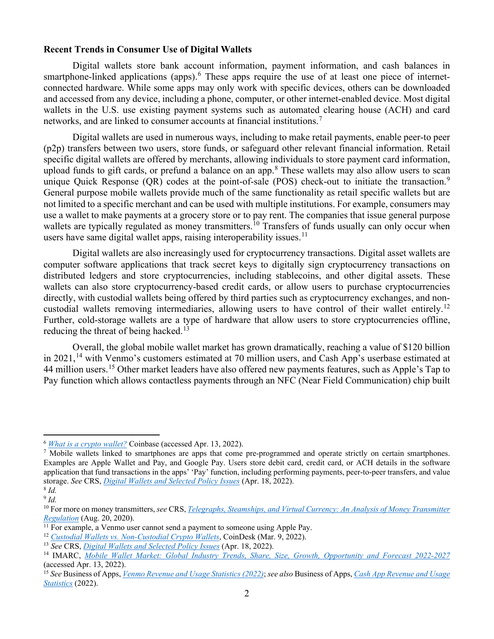#### **Recent Trends in Consumer Use of Digital Wallets**

Digital wallets store bank account information, payment information, and cash balances in smartphone-linked applications (apps).<sup>[6](#page-1-0)</sup> These apps require the use of at least one piece of internetconnected hardware. While some apps may only work with specific devices, others can be downloaded and accessed from any device, including a phone, computer, or other internet-enabled device. Most digital wallets in the U.S. use existing payment systems such as automated clearing house (ACH) and card networks, and are linked to consumer accounts at financial institutions.<sup>[7](#page-1-1)</sup>

Digital wallets are used in numerous ways, including to make retail payments, enable peer-to peer (p2p) transfers between two users, store funds, or safeguard other relevant financial information. Retail specific digital wallets are offered by merchants, allowing individuals to store payment card information, upload funds to gift cards, or prefund a balance on an app.[8](#page-1-2) These wallets may also allow users to scan unique Quick Response (QR) codes at the point-of-sale (POS) check-out to initiate the transaction.<sup>[9](#page-1-3)</sup> General purpose mobile wallets provide much of the same functionality as retail specific wallets but are not limited to a specific merchant and can be used with multiple institutions. For example, consumers may use a wallet to make payments at a grocery store or to pay rent. The companies that issue general purpose wallets are typically regulated as money transmitters.<sup>[10](#page-1-4)</sup> Transfers of funds usually can only occur when users have same digital wallet apps, raising interoperability issues.<sup>[11](#page-1-5)</sup>

Digital wallets are also increasingly used for cryptocurrency transactions. Digital asset wallets are computer software applications that track secret keys to digitally sign cryptocurrency transactions on distributed ledgers and store cryptocurrencies, including stablecoins, and other digital assets. These wallets can also store cryptocurrency-based credit cards, or allow users to purchase cryptocurrencies directly, with custodial wallets being offered by third parties such as cryptocurrency exchanges, and non-custodial wallets removing intermediaries, allowing users to have control of their wallet entirely.<sup>[12](#page-1-6)</sup> Further, cold-storage wallets are a type of hardware that allow users to store cryptocurrencies offline, reducing the threat of being hacked.<sup>[13](#page-1-7)</sup>

Overall, the global mobile wallet market has grown dramatically, reaching a value of \$120 billion in 2021,<sup>[14](#page-1-8)</sup> with Venmo's customers estimated at 70 million users, and Cash App's userbase estimated at 44 million users.<sup>[15](#page-1-9)</sup> Other market leaders have also offered new payments features, such as Apple's Tap to Pay function which allows contactless payments through an NFC (Near Field Communication) chip built

<span id="page-1-0"></span><sup>6</sup> *[What is a crypto wallet?](https://www.coinbase.com/learn/crypto-basics/what-is-a-crypto-wallet)* Coinbase (accessed Apr. 13, 2022).

<span id="page-1-1"></span><sup>&</sup>lt;sup>7</sup> Mobile wallets linked to smartphones are apps that come pre-programmed and operate strictly on certain smartphones. Examples are Apple Wallet and Pay, and Google Pay. Users store debit card, credit card, or ACH details in the software application that fund transactions in the apps' 'Pay' function, including performing payments, peer-to-peer transfers, and value storage. *See* CRS, *[Digital Wallets and Selected Policy Issues](https://crsreports.congress.gov/product/pdf/IF/IF12079)* (Apr. 18, 2022).

<span id="page-1-3"></span><span id="page-1-2"></span><sup>8</sup> *Id.*  $9$   $Id$ .

<span id="page-1-4"></span><sup>10</sup> For more on money transmitters, *see* CRS, *[Telegraphs, Steamships, and Virtual Currency:](https://sgp.fas.org/crs/misc/R46486.pdf) An Analysis of Money Transmitter [Regulation](https://sgp.fas.org/crs/misc/R46486.pdf)* (Aug. 20, 2020).

<span id="page-1-5"></span> $11$  For example, a Venmo user cannot send a payment to someone using Apple Pay.

<span id="page-1-6"></span><sup>12</sup> *[Custodial Wallets vs. Non-Custodial Crypto Wallets](https://www.coindesk.com/learn/custodial-wallets-vs-non-custodial-crypto-wallets/)*, CoinDesk (Mar. 9, 2022).

<span id="page-1-7"></span><sup>13</sup> *See* CRS, *[Digital Wallets and Selected Policy Issues](https://crsreports.congress.gov/product/pdf/IF/IF12079)* (Apr. 18, 2022).

<span id="page-1-8"></span><sup>14</sup> IMARC, *[Mobile Wallet Market: Global Industry Trends, Share, Size, Growth, Opportunity and Forecast 2022-2027](https://www.imarcgroup.com/mobile-wallet-market)* (accessed Apr. 13, 2022).

<span id="page-1-9"></span><sup>15</sup> *See* Business of Apps, *[Venmo Revenue and Usage Statistics \(2022\)](https://www.businessofapps.com/data/venmo-statistics/)*; *see also* Business of Apps, *[Cash App Revenue and Usage](https://www.businessofapps.com/data/cash-app-statistics/)  [Statistics](https://www.businessofapps.com/data/cash-app-statistics/)* (2022).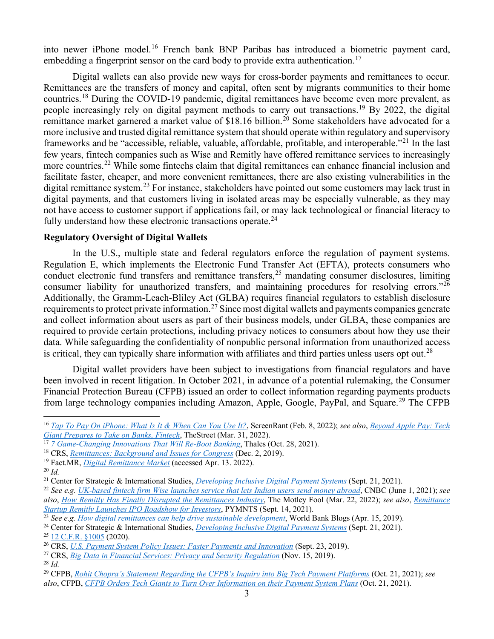into newer iPhone model.<sup>[16](#page-2-0)</sup> French bank BNP Paribas has introduced a biometric payment card, embedding a fingerprint sensor on the card body to provide extra authentication.<sup>[17](#page-2-1)</sup>

Digital wallets can also provide new ways for cross-border payments and remittances to occur. Remittances are the transfers of money and capital, often sent by migrants communities to their home countries.<sup>[18](#page-2-2)</sup> During the COVID-19 pandemic, digital remittances have become even more prevalent, as people increasingly rely on digital payment methods to carry out transactions.<sup>[19](#page-2-3)</sup> By 2022, the digital remittance market garnered a market value of \$18.16 billion.<sup>[20](#page-2-4)</sup> Some stakeholders have advocated for a more inclusive and trusted digital remittance system that should operate within regulatory and supervisory frameworks and be "accessible, reliable, valuable, affordable, profitable, and interoperable."[21](#page-2-5) In the last few years, fintech companies such as Wise and Remitly have offered remittance services to increasingly more countries.<sup>[22](#page-2-6)</sup> While some fintechs claim that digital remittances can enhance financial inclusion and facilitate faster, cheaper, and more convenient remittances, there are also existing vulnerabilities in the digital remittance system.<sup>[23](#page-2-7)</sup> For instance, stakeholders have pointed out some customers may lack trust in digital payments, and that customers living in isolated areas may be especially vulnerable, as they may not have access to customer support if applications fail, or may lack technological or financial literacy to fully understand how these electronic transactions operate.<sup>[24](#page-2-8)</sup>

### **Regulatory Oversight of Digital Wallets**

In the U.S., multiple state and federal regulators enforce the regulation of payment systems. Regulation E, which implements the Electronic Fund Transfer Act (EFTA), protects consumers who conduct electronic fund transfers and remittance transfers, [25](#page-2-9) mandating consumer disclosures, limiting consumer liability for unauthorized transfers, and maintaining procedures for resolving errors."<sup>[26](#page-2-10)</sup> Additionally, the Gramm-Leach-Bliley Act (GLBA) requires financial regulators to establish disclosure requirements to protect private information.<sup>[27](#page-2-11)</sup> Since most digital wallets and payments companies generate and collect information about users as part of their business models, under GLBA, these companies are required to provide certain protections, including privacy notices to consumers about how they use their data. While safeguarding the confidentiality of nonpublic personal information from unauthorized access is critical, they can typically share information with affiliates and third parties unless users opt out.<sup>[28](#page-2-12)</sup>

Digital wallet providers have been subject to investigations from financial regulators and have been involved in recent litigation. In October 2021, in advance of a potential rulemaking, the Consumer Financial Protection Bureau (CFPB) issued an order to collect information regarding payments products from large technology companies including Amazon, Apple, Google, PayPal, and Square.<sup>[29](#page-2-13)</sup> The CFPB

<span id="page-2-9"></span><sup>25</sup> [12 C.F.R. §1005](https://www.law.cornell.edu/cfr/text/12/part-1005) (2020).

<span id="page-2-12"></span><sup>28</sup> *Id.*

<span id="page-2-0"></span><sup>16</sup> *[Tap To Pay On iPhone: What Is It & When Can You Use It?](https://screenrant.com/tap-to-pay-iphone-benefits-availability-explained/)*, ScreenRant (Feb. 8, 2022); *see also*, *[Beyond Apple Pay: Tech](https://www.thestreet.com/technology/apple-prepares-new-weapons-against-banks-and-fintech)  [Giant Prepares to Take on Banks, Fintech](https://www.thestreet.com/technology/apple-prepares-new-weapons-against-banks-and-fintech)*, TheStreet (Mar. 31, 2022).

<span id="page-2-1"></span><sup>17</sup> *[7 Game-Changing Innovations That Will Re-Boot Banking](https://www.thalesgroup.com/en/worldwide-digital-identity-and-security/bank-payment/magazine/7-game-changing-innovations-will-re)*, Thales (Oct. 28, 2021).

<span id="page-2-2"></span><sup>18</sup> CRS, *[Remittances: Background and Issues for Congress](https://sgp.fas.org/crs/misc/R43217.pdf)* (Dec. 2, 2019).

<span id="page-2-3"></span><sup>19</sup> Fact.MR, *[Digital Remittance Market](https://www.factmr.com/report/digital-remittance-market)* (accessed Apr. 13. 2022).

<span id="page-2-4"></span><sup>20</sup> *[Id.](https://www.factmr.com/report/digital-remittance-market)*

<span id="page-2-5"></span><sup>21</sup> Center for Strategic & International Studies, *[Developing Inclusive Digital Payment Systems](https://www.csis.org/analysis/developing-inclusive-digital-payment-systems)* (Sept. 21, 2021).

<span id="page-2-6"></span><sup>22</sup> *See e.g. [UK-based fintech firm Wise launches service that lets Indian users send money abroad](https://www.cnbc.com/2021/06/01/fintech-firm-wise-service-allows-users-in-india-to-send-money-abroad.html)*, CNBC (June 1, 2021); *see also*, *[How Remitly Has Finally Disrupted the Remittances Industry](https://www.fool.com/investing/2022/03/22/how-remitly-has-finally-disrupted-the-remittances/)*, The Motley Fool (Mar. 22, 2022); *see also*, *[Remittance](https://www.pymnts.com/news/ipo/2021/remittance-startup-remitly-launches-ipo/)  [Startup Remitly Launches IPO Roadshow for Investors](https://www.pymnts.com/news/ipo/2021/remittance-startup-remitly-launches-ipo/)*, PYMNTS (Sept. 14, 2021).

<span id="page-2-7"></span><sup>23</sup> *See e.g. [How digital remittances can help drive sustainable development](https://blogs.worldbank.org/psd/how-digital-remittances-can-help-drive-sustainable-development)*, World Bank Blogs (Apr. 15, 2019).

<span id="page-2-8"></span><sup>24</sup> Center for Strategic & International Studies, *[Developing Inclusive Digital Payment Systems](https://www.csis.org/analysis/developing-inclusive-digital-payment-systems)* (Sept. 21, 2021).

<span id="page-2-10"></span><sup>26</sup> CRS, *[U.S. Payment System Policy Issues: Faster Payments and Innovation](https://crsreports.congress.gov/product/pdf/R/R45927)* (Sept. 23, 2019).

<span id="page-2-11"></span><sup>27</sup> CRS, *[Big Data in Financial Services: Privacy and Security Regulation](https://crsreports.congress.gov/product/pdf/IN/IN11199)* (Nov. 15, 2019).

<span id="page-2-13"></span><sup>29</sup> CFPB, *[Rohit Chopra's Statement Regarding the CFPB's Inquiry into Big Tech Payment Platforms](https://www.consumerfinance.gov/about-us/newsroom/statement-regarding-the-cfpbs-inquiry-into-big-tech-payment-platforms/)* (Oct. 21, 2021); *see also*, CFPB, *[CFPB Orders Tech Giants to Turn Over Information on their Payment System Plans](https://www.consumerfinance.gov/about-us/newsroom/cfpb-orders-tech-giants-to-turn-over-information-on-their-payment-system-plans/)* (Oct. 21, 2021).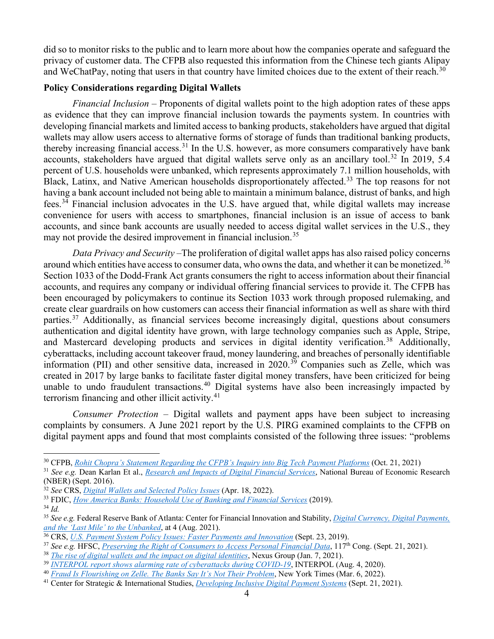did so to monitor risks to the public and to learn more about how the companies operate and safeguard the privacy of customer data. The CFPB also requested this information from the Chinese tech giants Alipay and WeChatPay, noting that users in that country have limited choices due to the extent of their reach.<sup>[30](#page-3-0)</sup>

#### **Policy Considerations regarding Digital Wallets**

*Financial Inclusion –* Proponents of digital wallets point to the high adoption rates of these apps as evidence that they can improve financial inclusion towards the payments system. In countries with developing financial markets and limited access to banking products, stakeholders have argued that digital wallets may allow users access to alternative forms of storage of funds than traditional banking products, thereby increasing financial access.<sup>[31](#page-3-1)</sup> In the U.S. however, as more consumers comparatively have bank accounts, stakeholders have argued that digital wallets serve only as an ancillary tool.<sup>[32](#page-3-2)</sup> In 2019, 5.4 percent of U.S. households were unbanked, which represents approximately 7.1 million households, with Black, Latinx, and Native American households disproportionately affected.<sup>[33](#page-3-3)</sup> The top reasons for not having a bank account included not being able to maintain a minimum balance, distrust of banks, and high fees.[34](#page-3-4) Financial inclusion advocates in the U.S. have argued that, while digital wallets may increase convenience for users with access to smartphones, financial inclusion is an issue of access to bank accounts, and since bank accounts are usually needed to access digital wallet services in the U.S., they may not provide the desired improvement in financial inclusion.<sup>35</sup>

*Data Privacy and Security –*The proliferation of digital wallet apps has also raised policy concerns around which entities have access to consumer data, who owns the data, and whether it can be monetized.<sup>[36](#page-3-6)</sup> Section 1033 of the Dodd-Frank Act grants consumers the right to access information about their financial accounts, and requires any company or individual offering financial services to provide it. The CFPB has been encouraged by policymakers to continue its Section 1033 work through proposed rulemaking, and create clear guardrails on how customers can access their financial information as well as share with third parties.<sup>[37](#page-3-7)</sup> Additionally, as financial services become increasingly digital, questions about consumers authentication and digital identity have grown, with large technology companies such as Apple, Stripe, and Mastercard developing products and services in digital identity verification.<sup>[38](#page-3-8)</sup> Additionally, cyberattacks, including account takeover fraud, money laundering, and breaches of personally identifiable information (PII) and other sensitive data, increased in  $2020$ .<sup>[39](#page-3-9)</sup> Companies such as Zelle, which was created in 2017 by large banks to facilitate faster digital money transfers, have been criticized for being unable to undo fraudulent transactions.<sup>[40](#page-3-10)</sup> Digital systems have also been increasingly impacted by terrorism financing and other illicit activity.<sup>[41](#page-3-11)</sup>

*Consumer Protection –* Digital wallets and payment apps have been subject to increasing complaints by consumers. A June 2021 report by the U.S. PIRG examined complaints to the CFPB on digital payment apps and found that most complaints consisted of the following three issues: "problems

<span id="page-3-0"></span><sup>30</sup> CFPB, *[Rohit Chopra's Statement Regarding the CFPB's Inquiry into Big Tech Payment Platforms](https://www.consumerfinance.gov/about-us/newsroom/statement-regarding-the-cfpbs-inquiry-into-big-tech-payment-platforms/)* (Oct. 21, 2021)

<span id="page-3-1"></span><sup>31</sup> *See e.g.* Dean Karlan Et al., *Research and Impacts of [Digital Financial Services](http://www.nber.org/papers/w22633)*, National Bureau of Economic Research

<span id="page-3-2"></span><sup>&</sup>lt;sup>32</sup> See CRS, *[Digital Wallets and Selected Policy Issues](https://crsreports.congress.gov/product/pdf/IF/IF12079)* (Apr. 18, 2022).

<span id="page-3-3"></span><sup>33</sup> FDIC, *[How America Banks: Household Use of Banking and Financial Services](https://www.fdic.gov/analysis/household-survey/2019execsum.pdf)* (2019).

<span id="page-3-4"></span><sup>34</sup> *Id.*

<span id="page-3-5"></span><sup>35</sup> *See e.g.* Federal Reserve Bank of Atlanta: Center for Financial Innovation and Stability, *[Digital Currency, Digital Payments,](https://www.atlantafed.org/-/media/documents/research/publications/policy-hub/2021/08/02/09-digital-payments-and-unbanked.pdf)  [and the 'Last Mile' to the Unbanked](https://www.atlantafed.org/-/media/documents/research/publications/policy-hub/2021/08/02/09-digital-payments-and-unbanked.pdf)*, at 4 (Aug. 2021).

<span id="page-3-6"></span><sup>36</sup> CRS, *[U.S. Payment System Policy Issues: Faster Payments and Innovation](https://crsreports.congress.gov/product/pdf/R/R45927)* (Sept. 23, 2019).

<span id="page-3-7"></span><sup>37</sup> *See e.g.* HFSC, *[Preserving the Right of Consumers to Access Personal Financial Data](https://financialservices.house.gov/events/eventsingle.aspx?EventID=408301)*, 117th Cong. (Sept. 21, 2021).

<span id="page-3-8"></span><sup>38</sup> *[The rise of digital wallets and the impact on digital identities](https://www.nexusgroup.com/digital-wallets-impact-on-digital-identities/)*, Nexus Group (Jan. 7, 2021).

<span id="page-3-9"></span><sup>39</sup> *[INTERPOL report shows alarming rate of cyberattacks during COVID-19](https://www.interpol.int/en/News-and-Events/News/2020/INTERPOL-report-shows-alarming-rate-of-cyberattacks-during-COVID-19)*, INTERPOL (Aug. 4, 2020).

<span id="page-3-10"></span><sup>40</sup> *[Fraud Is Flourishing on Zelle. The Banks Say It's Not Their Problem](https://www.nytimes.com/2022/03/06/business/payments-fraud-zelle-banks.html)*, New York Times (Mar. 6, 2022).

<span id="page-3-11"></span><sup>41</sup> Center for Strategic & International Studies, *[Developing Inclusive Digital Payment Systems](https://www.csis.org/analysis/developing-inclusive-digital-payment-systems)* (Sept. 21, 2021).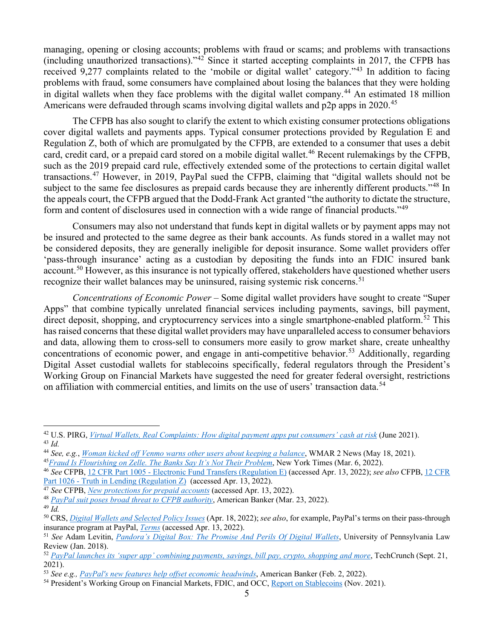managing, opening or closing accounts; problems with fraud or scams; and problems with transactions (including unauthorized transactions)."[42](#page-4-0) Since it started accepting complaints in 2017, the CFPB has received 9,277 complaints related to the 'mobile or digital wallet' category."[43](#page-4-1) In addition to facing problems with fraud, some consumers have complained about losing the balances that they were holding in digital wallets when they face problems with the digital wallet company.<sup>[44](#page-4-2)</sup> An estimated 18 million Americans were defrauded through scams involving digital wallets and p2p apps in 2020.<sup>[45](#page-4-3)</sup>

The CFPB has also sought to clarify the extent to which existing consumer protections obligations cover digital wallets and payments apps. Typical consumer protections provided by Regulation E and Regulation Z, both of which are promulgated by the CFPB, are extended to a consumer that uses a debit card, credit card, or a prepaid card stored on a mobile digital wallet.<sup>[46](#page-4-4)</sup> Recent rulemakings by the CFPB, such as the 2019 prepaid card rule, effectively extended some of the protections to certain digital wallet transactions.[47](#page-4-5) However, in 2019, PayPal sued the CFPB, claiming that "digital wallets should not be subject to the same fee disclosures as prepaid cards because they are inherently different products."<sup>[48](#page-4-6)</sup> In the appeals court, the CFPB argued that the Dodd-Frank Act granted "the authority to dictate the structure, form and content of disclosures used in connection with a wide range of financial products."<sup>[49](#page-4-7)</sup>

Consumers may also not understand that funds kept in digital wallets or by payment apps may not be insured and protected to the same degree as their bank accounts. As funds stored in a wallet may not be considered deposits, they are generally ineligible for deposit insurance. Some wallet providers offer 'pass-through insurance' acting as a custodian by depositing the funds into an FDIC insured bank account.<sup>[50](#page-4-8)</sup> However, as this insurance is not typically offered, stakeholders have questioned whether users recognize their wallet balances may be uninsured, raising systemic risk concerns.<sup>[51](#page-4-9)</sup>

*Concentrations of Economic Power* – Some digital wallet providers have sought to create "Super Apps" that combine typically unrelated financial services including payments, savings, bill payment, direct deposit, shopping, and cryptocurrency services into a single smartphone-enabled platform.<sup>[52](#page-4-10)</sup> This has raised concerns that these digital wallet providers may have unparalleled access to consumer behaviors and data, allowing them to cross-sell to consumers more easily to grow market share, create unhealthy concentrations of economic power, and engage in anti-competitive behavior.<sup>[53](#page-4-11)</sup> Additionally, regarding Digital Asset custodial wallets for stablecoins specifically, federal regulators through the President's Working Group on Financial Markets have suggested the need for greater federal oversight, restrictions on affiliation with commercial entities, and limits on the use of users' transaction data.<sup>[54](#page-4-12)</sup>

<span id="page-4-0"></span><sup>42</sup> U.S. PIRG, *[Virtual Wallets, Real Complaints: How digital payment apps put consumers' cash at risk](https://uspirg.org/sites/pirg/files/reports/VirtualWallets/Virtualwallets_USP_V3.pdf)* (June 2021). <sup>43</sup> *Id.*

<span id="page-4-2"></span><span id="page-4-1"></span><sup>44</sup> *See, e.g.*, *[Woman kicked off Venmo warns other users about keeping a balance](https://www.wmar2news.com/matterformallory/woman-kicked-off-venmo-warns-other-users-about-keeping-a-balance)*, WMAR 2 News (May 18, 2021).

<span id="page-4-3"></span><sup>45</sup>*[Fraud Is Flourishing on Zelle. The Banks Say It's Not Their Problem](https://www.nytimes.com/2022/03/06/business/payments-fraud-zelle-banks.html)*, New York Times (Mar. 6, 2022).

<span id="page-4-4"></span><sup>46</sup> *See* CFPB, 12 CFR Part 1005 - [Electronic Fund Transfers \(Regulation E\)](https://www.consumerfinance.gov/rules-policy/regulations/1005/) (accessed Apr. 13, 2022); *see also* CFPB[, 12 CFR](https://www.consumerfinance.gov/rules-policy/regulations/1026/)  Part 1026 - [Truth in Lending \(Regulation Z\)](https://www.consumerfinance.gov/rules-policy/regulations/1026/) (accessed Apr. 13, 2022).

<span id="page-4-5"></span><sup>&</sup>lt;sup>47</sup> See CFPB, <u>[New protections for prepaid accounts](https://www.consumerfinance.gov/prepaid-rule/)</u> (accessed Apr. 13, 2022).

<span id="page-4-6"></span><sup>48</sup> *[PayPal suit poses broad threat to CFPB authority](https://www.americanbanker.com/payments/news/paypal-suit-poses-broad-threat-to-cfpb-authority)*, American Banker (Mar. 23, 2022).

<span id="page-4-7"></span><sup>49</sup> *Id.*

<span id="page-4-8"></span><sup>50</sup> CRS, *[Digital Wallets and Selected Policy Issues](https://www.crs.gov/reports/pdf/IF12079)* (Apr. 18, 2022); *see also*, for example, PayPal's terms on their pass-through insurance program at PayPal, *[Terms](https://www.paypal.com/myaccount/bundle/terms)* (accessed Apr. 13, 2022).

<span id="page-4-9"></span><sup>51</sup> *See* Adam Levitin, *[Pandora's Digital Box: The Promise And Perils Of Digital Wallets](https://scholarship.law.upenn.edu/cgi/viewcontent.cgi?article=9607&context=penn_law_review)*, University of Pennsylvania Law Review (Jan. 2018).<br><sup>52</sup> *[PayPal launches its 'super app' combining payments, savings, bill pay, crypto, shopping and more](https://techcrunch.com/2021/09/21/paypal-launches-its-super-app-combining-payments-savings-bill-pay-crypto-shopping-and-more/), TechCrunch (Sept. 21,* 

<span id="page-4-10"></span><sup>2021).</sup>

<span id="page-4-11"></span><sup>53</sup> *See e.g., [PayPal's new features help offset economic headwinds](https://www.americanbanker.com/payments/news/paypals-new-super-app-helps-offset-economic-headwinds)*, American Banker (Feb. 2, 2022).

<span id="page-4-12"></span><sup>54</sup> President's Working Group on Financial Markets, FDIC, and OCC, [Report on Stablecoins](https://financialservices.house.gov/uploadedfiles/hhrg-117-ba00-20220208-sd002.pdf) (Nov. 2021).